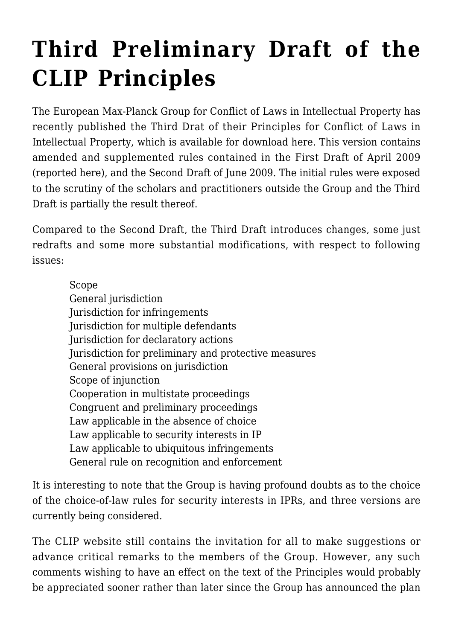## **[Third Preliminary Draft of the](https://conflictoflaws.net/2010/third-preliminary-draft-of-the-clip-principles/) [CLIP Principles](https://conflictoflaws.net/2010/third-preliminary-draft-of-the-clip-principles/)**

The European Max-Planck Group for Conflict of Laws in Intellectual Property has recently published the Third Drat of their Principles for Conflict of Laws in Intellectual Property, which is available for download [here.](http://www.cl-ip.eu/) This version contains amended and supplemented rules contained in the First Draft of April 2009 (reported [here\)](https://conflictoflaws.de/2009/clip-principles-for-conflict-of-laws-in-intellectual-property-first-preliminary-draft/), and the Second Draft of June 2009. The initial rules were exposed to the scrutiny of the scholars and practitioners outside the Group and the Third Draft is partially the result thereof.

Compared to the Second Draft, the Third Draft introduces changes, some just redrafts and some more substantial modifications, with respect to following issues:

Scope General jurisdiction Jurisdiction for infringements Jurisdiction for multiple defendants Jurisdiction for declaratory actions Jurisdiction for preliminary and protective measures General provisions on jurisdiction Scope of injunction Cooperation in multistate proceedings Congruent and preliminary proceedings Law applicable in the absence of choice Law applicable to security interests in IP Law applicable to ubiquitous infringements General rule on recognition and enforcement

It is interesting to note that the Group is having profound doubts as to the choice of the choice-of-law rules for security interests in IPRs, and three versions are currently being considered.

The CLIP website still contains the invitation for all to make suggestions or advance critical remarks to the members of the Group. However, any such comments wishing to have an effect on the text of the Principles would probably be appreciated sooner rather than later since the Group has announced the plan